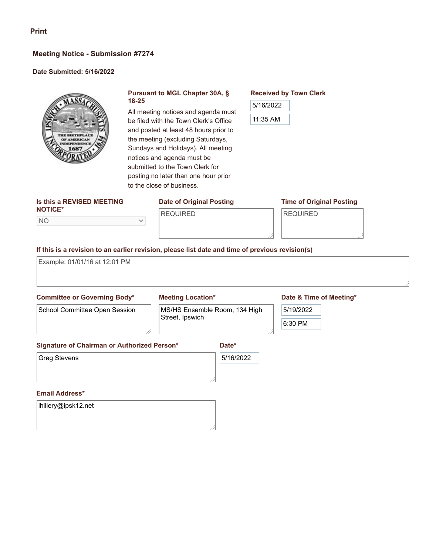### **Meeting Notice - Submission #7274**

### **Date Submitted: 5/16/2022**



### **Pursuant to MGL Chapter 30A, § 18-25**

All meeting notices and agenda must be filed with the Town Clerk's Office and posted at least 48 hours prior to the meeting (excluding Saturdays, Sundays and Holidays). All meeting notices and agenda must be submitted to the Town Clerk for posting no later than one hour prior to the close of business.

#### **Is this a REVISED MEETING NOTICE\***

NO

# **Date of Original Posting**

### REQUIRED

### **Time of Original Posting**

REQUIRED

**Received by Town Clerk**

5/16/2022

11:35 AM

### **If this is a revision to an earlier revision, please list date and time of previous revision(s)**

 $\checkmark$ 

Example: 01/01/16 at 12:01 PM

### **Committee or Governing Body\*** School Committee Open Session

### **Meeting Location\***

MS/HS Ensemble Room, 134 High Street, Ipswich

### **Date & Time of Meeting\***

| 5/19/2022 |  |
|-----------|--|
|           |  |
| 30 P<br>O |  |

### **Signature of Chairman or Authorized Person\***

Greg Stevens

## 5/16/2022

**Date\***

### **Email Address\***

lhillery@ipsk12.net